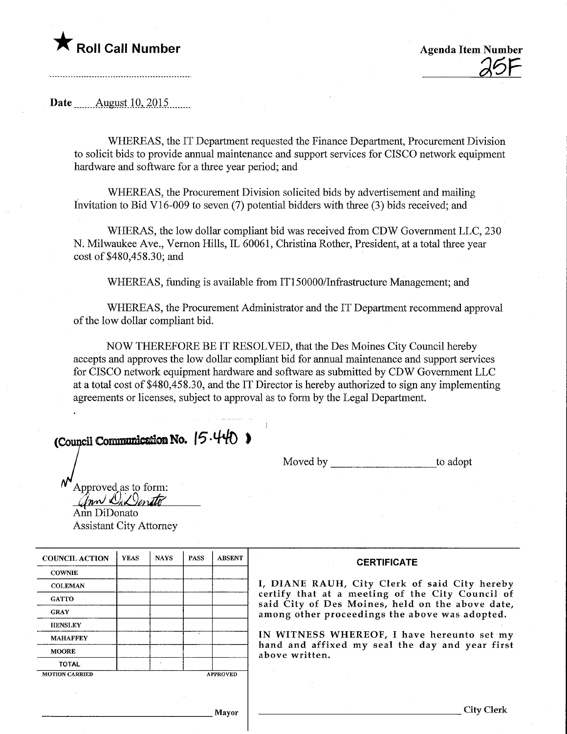## **T** Roll Call Number Agenda Item Number

 $25F$ 

Date ........August. 10,.2015.

WHEREAS, the IT Department requested the Finance Department, Procurement Division to solicit bids to provide annual maintenance and support services for CISCO network equipment hardware and software for a three year period; and

WHEREAS, the Procurement Division solicited bids by advertisement and mailing Invitation to Bid VI 6-009 to seven (7) potential bidders with three (3) bids received; and

WHERAS, the low dollar compliant bid was received from CDW Government LLC, 230 N. Milwaukee Ave., Vernon Hills, IL 60061, Christina Rother, President, at a total three year cost of \$480,458.30; and

WHEREAS, funding is available from IT150000/Infrastructure Management; and

WHEREAS, the Procurement Administrator and the IT Department recommend approval of the low dollar compliant bid.

NOW THEREFORE BE IT RESOLVED, that the Des Moines City Council hereby accepts and approves the low dollar compliant bid for annual maintenance and support services for CISCO network equipment hardware and software as submitted by CDW Government LLC at a total cost of \$480,458.30, and the IT Director is hereby authorized to sign any implementing agreements or licenses, subject to approval as to form by the Legal Department.

(Council Communication No.  $(5.440)$ )

Moved by to adopt

Approved as to form: Approved as to form<br>*Ann DiDonato*<br>Ann DiDonato Assistant City Attorney

COUNCIL ACTION **COWNIE COLEMAN GATTO** GRAY **HENSLEY** MAHAFFEY MOORE TOTAL YEAS **MOTION CARRIED** NAYS | PASS A PROVED ABSENT **CERTIFICATE** I, DIANE RAUH, City Clerk of said City hereby certify that at a meeting of the City Council of said City of Des Moines, held on the above date, among other proceedings the above was adopted. IN WITNESS WHEREOF, I have hereunto set my hand and affixed my seal the day and year first above written.

Mayor